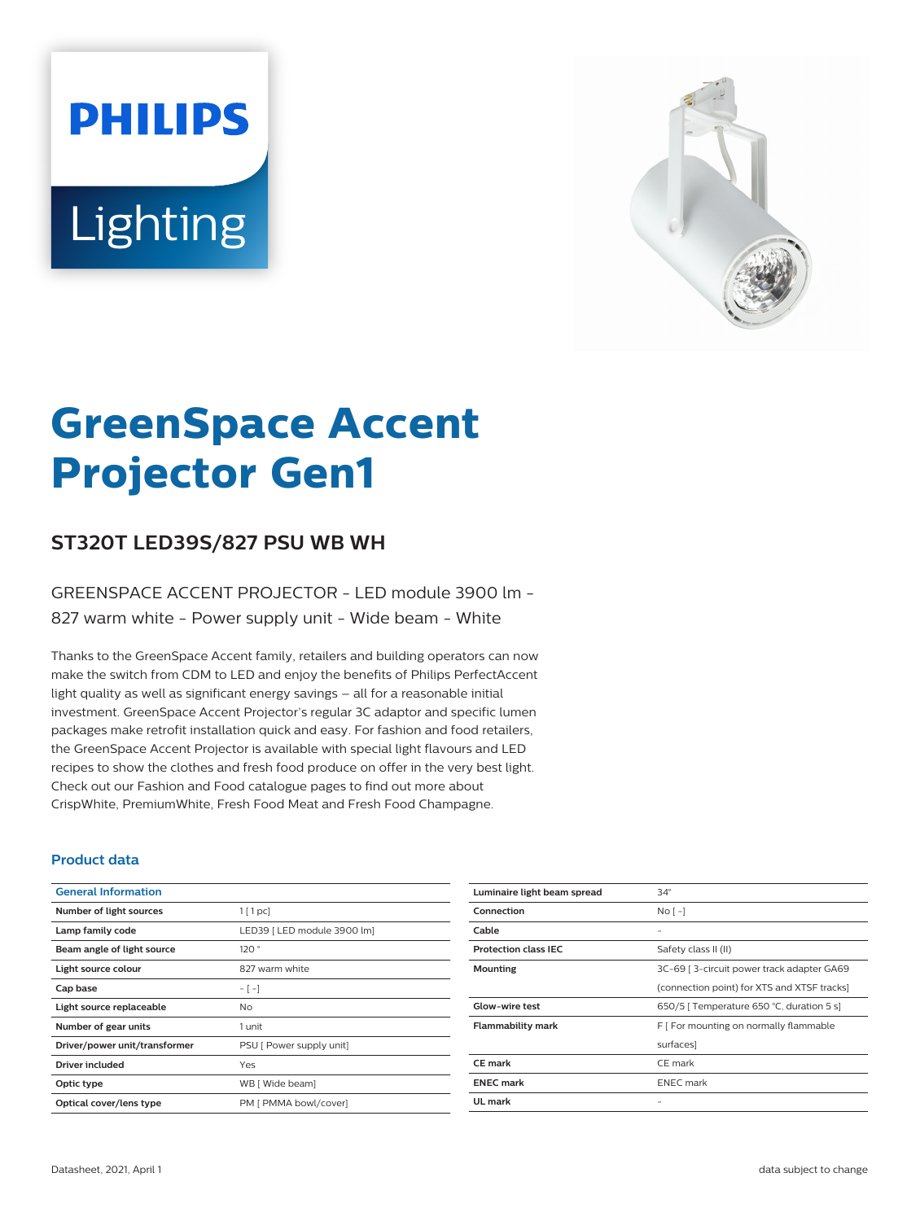# **PHILIPS** Lighting



# **GreenSpace Accent Projector Gen1**

# **ST320T LED39S/827 PSU WB WH**

### GREENSPACE ACCENT PROJECTOR - LED module 3900 lm - 827 warm white - Power supply unit - Wide beam - White

Thanks to the GreenSpace Accent family, retailers and building operators can now make the switch from CDM to LED and enjoy the benefits of Philips PerfectAccent light quality as well as significant energy savings – all for a reasonable initial investment. GreenSpace Accent Projector's regular 3C adaptor and specific lumen packages make retrofit installation quick and easy. For fashion and food retailers, the GreenSpace Accent Projector is available with special light flavours and LED recipes to show the clothes and fresh food produce on offer in the very best light. Check out our Fashion and Food catalogue pages to find out more about CrispWhite, PremiumWhite, Fresh Food Meat and Fresh Food Champagne.

#### **Product data**

| <b>General Information</b>    |                             |
|-------------------------------|-----------------------------|
| Number of light sources       | $1$ [ 1 pc]                 |
| Lamp family code              | LED39   LED module 3900 lm] |
| Beam angle of light source    | 120°                        |
| Light source colour           | 827 warm white              |
| Cap base                      | $-[-]$                      |
| Light source replaceable      | No                          |
| Number of gear units          | 1 unit                      |
| Driver/power unit/transformer | PSU [ Power supply unit]    |
| <b>Driver included</b>        | Yes                         |
| Optic type                    | WB [ Wide beam]             |
| Optical cover/lens type       | PM [ PMMA bowl/cover]       |

| Luminaire light beam spread | $34^\circ$                                  |
|-----------------------------|---------------------------------------------|
| Connection                  | $No$ [ -]                                   |
| Cable                       |                                             |
| <b>Protection class IEC</b> | Safety class II (II)                        |
| Mounting                    | 3C-69   3-circuit power track adapter GA69  |
|                             | (connection point) for XTS and XTSF tracks] |
| <b>Glow-wire test</b>       | 650/5   Temperature 650 °C, duration 5 s]   |
| <b>Flammability mark</b>    | F   For mounting on normally flammable      |
|                             | surfaces]                                   |
| CE mark                     | CE mark                                     |
| <b>ENEC mark</b>            | <b>ENEC</b> mark                            |
| UL mark                     |                                             |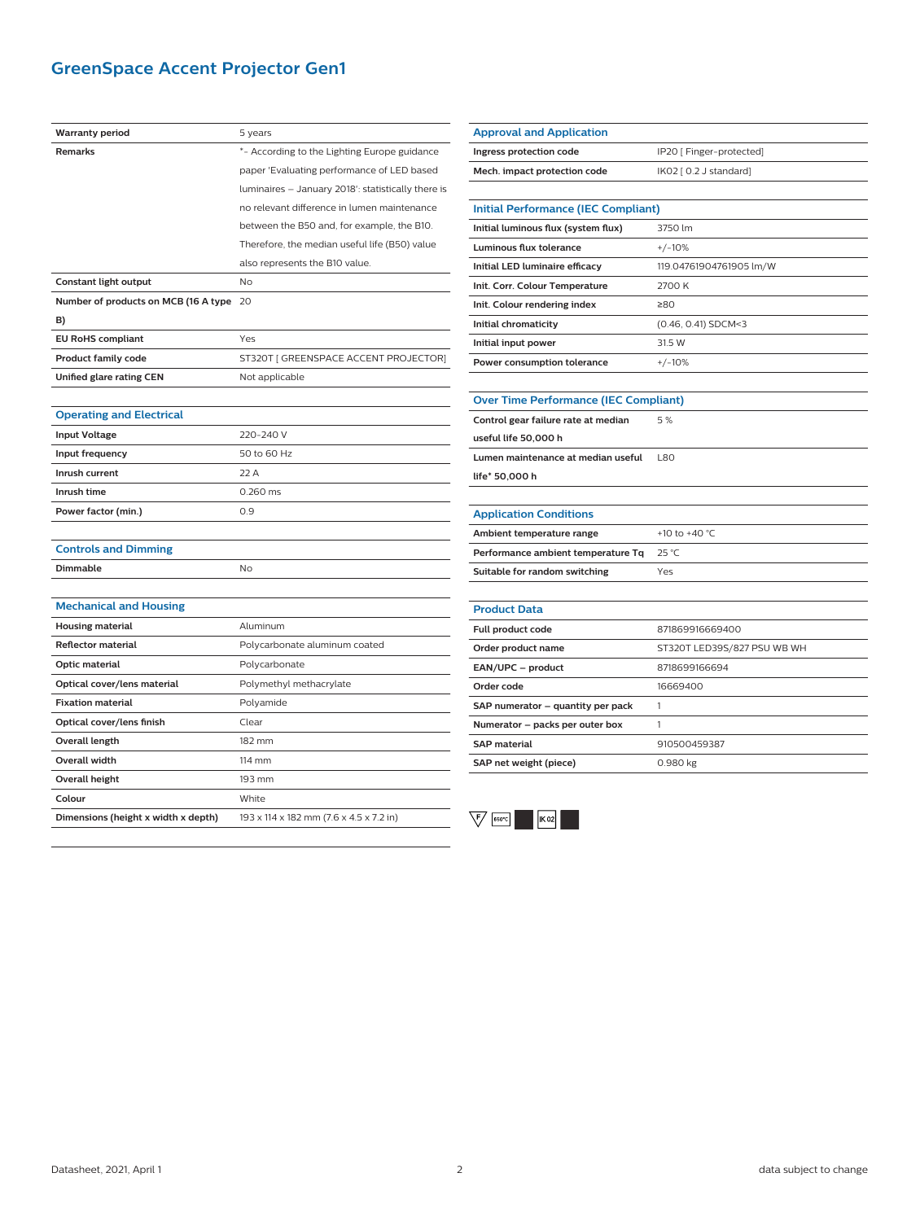# **GreenSpace Accent Projector Gen1**

| Warranty period                      | 5 years                                            |
|--------------------------------------|----------------------------------------------------|
| Remarks                              | *- According to the Lighting Europe guidance       |
|                                      | paper 'Evaluating performance of LED based         |
|                                      | luminaires - January 2018': statistically there is |
|                                      | no relevant difference in lumen maintenance        |
|                                      | between the B50 and, for example, the B10.         |
|                                      | Therefore, the median useful life (B50) value      |
|                                      | also represents the B10 value.                     |
| Constant light output                | No                                                 |
| Number of products on MCB (16 A type | 20                                                 |
| B)                                   |                                                    |
| <b>EU RoHS compliant</b>             | Yes                                                |
| <b>Product family code</b>           | ST320T [ GREENSPACE ACCENT PROJECTOR]              |
| Unified glare rating CEN             | Not applicable                                     |
|                                      |                                                    |
| <b>Operating and Electrical</b>      |                                                    |
| <b>Input Voltage</b>                 | 220-240 V                                          |
| Input frequency                      | 50 to 60 Hz                                        |
| Inrush current                       | 22 A                                               |
| Inrush time                          | 0.260 ms                                           |
| Power factor (min.)                  | 0.9                                                |
|                                      |                                                    |
| <b>Controls and Dimming</b>          |                                                    |
| Dimmable                             | <b>No</b>                                          |
|                                      |                                                    |
| <b>Mechanical and Housing</b>        |                                                    |
| <b>Housing material</b>              | Aluminum                                           |
| <b>Reflector material</b>            | Polycarbonate aluminum coated                      |
| Optic material                       | Polycarbonate                                      |
| Optical cover/lens material          | Polymethyl methacrylate                            |
| <b>Fixation material</b>             | Polyamide                                          |
| Optical cover/lens finish            | Clear                                              |
| Overall length                       | 182 mm                                             |
| <b>Overall width</b>                 | 114 mm                                             |
| <b>Overall height</b>                | 193 mm                                             |
| Colour                               | White                                              |
| Dimensions (height x width x depth)  | 193 x 114 x 182 mm (7.6 x 4.5 x 7.2 in)            |

| <b>Approval and Application</b>              |                             |  |
|----------------------------------------------|-----------------------------|--|
| Ingress protection code                      | IP20 [ Finger-protected]    |  |
| Mech. impact protection code                 | IK02 [ 0.2 J standard]      |  |
|                                              |                             |  |
| <b>Initial Performance (IEC Compliant)</b>   |                             |  |
| Initial luminous flux (system flux)          | 3750 lm                     |  |
| Luminous flux tolerance                      | $+/-10%$                    |  |
| <b>Initial LED luminaire efficacy</b>        | 119.04761904761905 lm/W     |  |
| Init. Corr. Colour Temperature               | 2700 K                      |  |
| Init. Colour rendering index                 | ≥80                         |  |
| Initial chromaticity                         | (0.46, 0.41) SDCM<3         |  |
| Initial input power                          | 31.5 W                      |  |
| Power consumption tolerance                  | $+/-10%$                    |  |
|                                              |                             |  |
| <b>Over Time Performance (IEC Compliant)</b> |                             |  |
| Control gear failure rate at median          | 5%                          |  |
| useful life 50,000 h                         |                             |  |
| Lumen maintenance at median useful           | <b>L80</b>                  |  |
| life* 50,000 h                               |                             |  |
|                                              |                             |  |
| <b>Application Conditions</b>                |                             |  |
| Ambient temperature range                    | +10 to +40 °C               |  |
| Performance ambient temperature Tq           | $25^{\circ}$ C              |  |
| Suitable for random switching                | Yes                         |  |
|                                              |                             |  |
| <b>Product Data</b>                          |                             |  |
| Full product code                            | 871869916669400             |  |
| Order product name                           | ST320T LED39S/827 PSU WB WH |  |
| EAN/UPC - product                            | 8718699166694               |  |
| Order code                                   | 16669400                    |  |
| SAP numerator – quantity per pack            | 1                           |  |
| Numerator - packs per outer box              | 1                           |  |
| <b>SAP material</b>                          | 910500459387                |  |
| SAP net weight (piece)                       | 0.980 kg                    |  |
|                                              |                             |  |

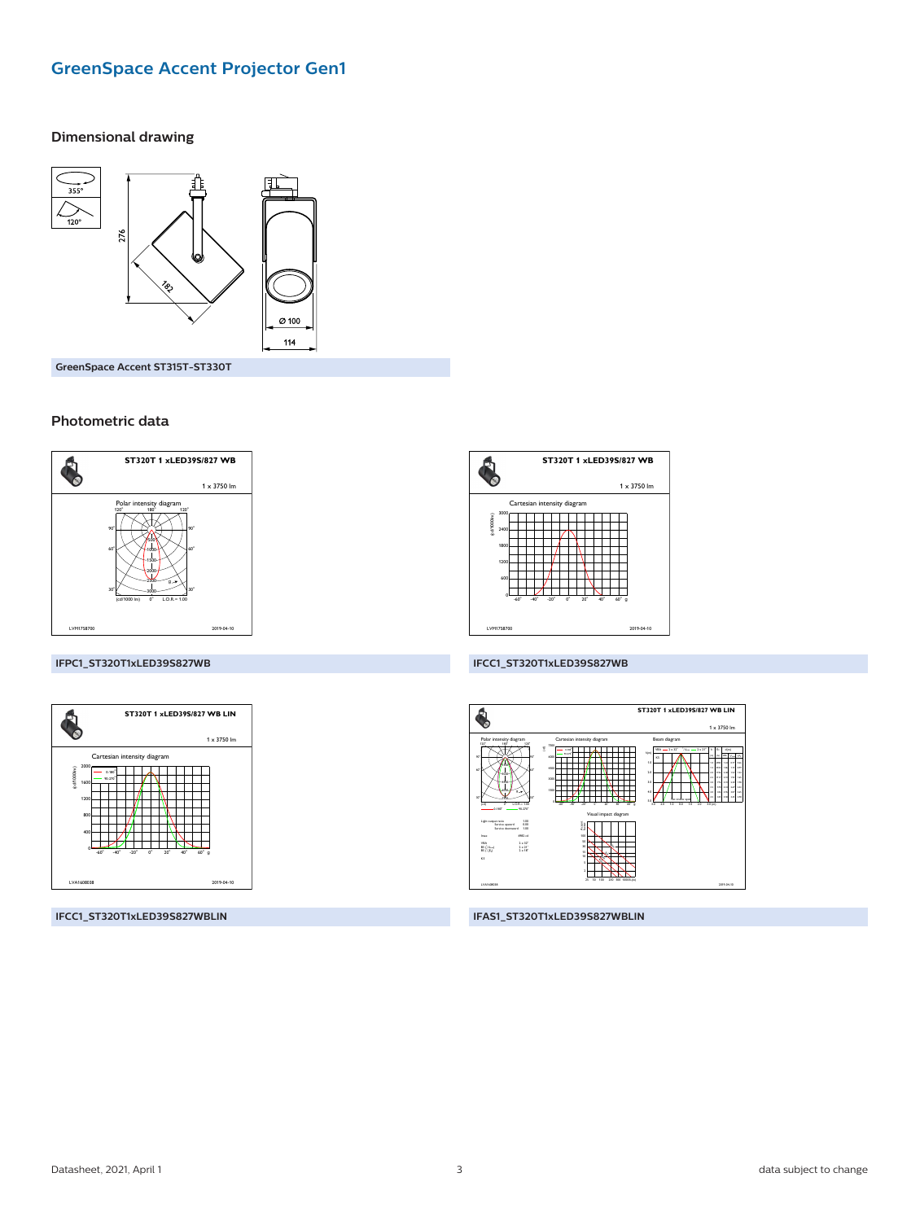# **GreenSpace Accent Projector Gen1**

#### **Dimensional drawing**



GreenSpace Accent ST315T-ST330T

#### Photometric data



# A<sub>O</sub> ST320T 1 xLED39S/827 WB  $1 \times 3750$  lm Cartesian intensity diagram والماليات ┯ 2019-04-10

#### IFPC1\_ST320T1xLED39S827WB



IFCC1\_ST320T1xLED39S827WBLIN

#### IFCC1\_ST320T1xLED39S827WB



IFAS1\_ST320T1xLED39S827WBLIN